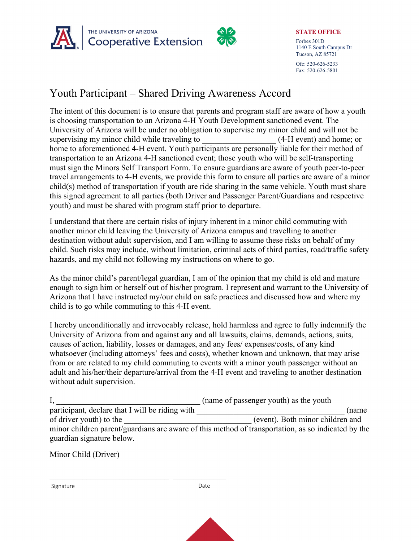



**STATE OFFICE** Forbes 301D 1140 E South Campus Dr Tucson, AZ 85721

Ofc: 520-626-5233 Fax: 520-626-5801

## Youth Participant – Shared Driving Awareness Accord

The intent of this document is to ensure that parents and program staff are aware of how a youth is choosing transportation to an Arizona 4-H Youth Development sanctioned event. The University of Arizona will be under no obligation to supervise my minor child and will not be supervising my minor child while traveling to  $(4-H$  event) and home; or home to aforementioned 4-H event. Youth participants are personally liable for their method of transportation to an Arizona 4-H sanctioned event; those youth who will be self-transporting must sign the Minors Self Transport Form. To ensure guardians are aware of youth peer-to-peer travel arrangements to 4-H events, we provide this form to ensure all parties are aware of a minor child(s) method of transportation if youth are ride sharing in the same vehicle. Youth must share this signed agreement to all parties (both Driver and Passenger Parent/Guardians and respective youth) and must be shared with program staff prior to departure.

I understand that there are certain risks of injury inherent in a minor child commuting with another minor child leaving the University of Arizona campus and travelling to another destination without adult supervision, and I am willing to assume these risks on behalf of my child. Such risks may include, without limitation, criminal acts of third parties, road/traffic safety hazards, and my child not following my instructions on where to go.

As the minor child's parent/legal guardian, I am of the opinion that my child is old and mature enough to sign him or herself out of his/her program. I represent and warrant to the University of Arizona that I have instructed my/our child on safe practices and discussed how and where my child is to go while commuting to this 4-H event.

I hereby unconditionally and irrevocably release, hold harmless and agree to fully indemnify the University of Arizona from and against any and all lawsuits, claims, demands, actions, suits, causes of action, liability, losses or damages, and any fees/ expenses/costs, of any kind whatsoever (including attorneys' fees and costs), whether known and unknown, that may arise from or are related to my child commuting to events with a minor youth passenger without an adult and his/her/their departure/arrival from the 4-H event and traveling to another destination without adult supervision.

I,  $\frac{1}{2}$  (name of passenger youth) as the youth participant, declare that I will be riding with  $\blacksquare$  (name of driver youth) to the  $(event)$ . Both minor children and minor children parent/guardians are aware of this method of transportation, as so indicated by the guardian signature below.

Minor Child (Driver)

Signature Date